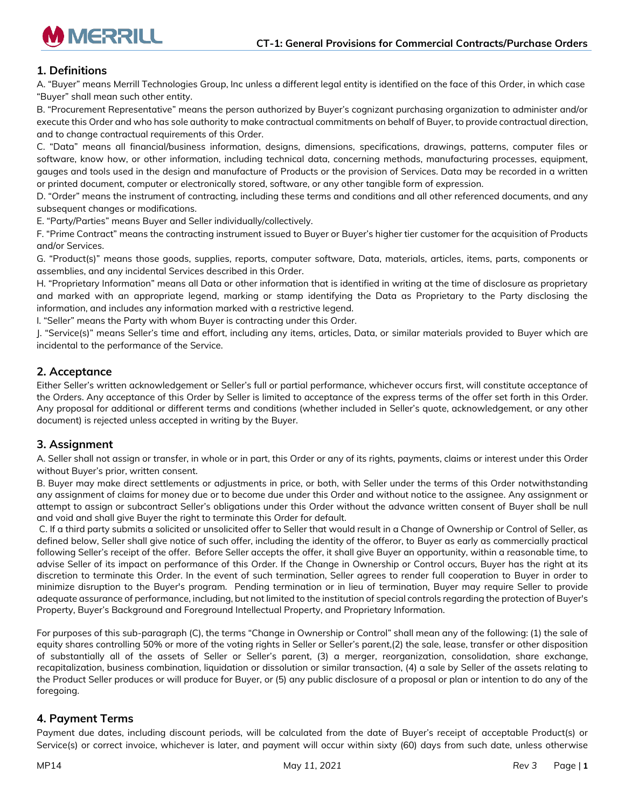

# **1. Definitions**

A. "Buyer" means Merrill Technologies Group, Inc unless a different legal entity is identified on the face of this Order, in which case "Buyer" shall mean such other entity.

B. "Procurement Representative" means the person authorized by Buyer's cognizant purchasing organization to administer and/or execute this Order and who has sole authority to make contractual commitments on behalf of Buyer, to provide contractual direction, and to change contractual requirements of this Order.

C. "Data" means all financial/business information, designs, dimensions, specifications, drawings, patterns, computer files or software, know how, or other information, including technical data, concerning methods, manufacturing processes, equipment, gauges and tools used in the design and manufacture of Products or the provision of Services. Data may be recorded in a written or printed document, computer or electronically stored, software, or any other tangible form of expression.

D. "Order" means the instrument of contracting, including these terms and conditions and all other referenced documents, and any subsequent changes or modifications.

E. "Party/Parties" means Buyer and Seller individually/collectively.

F. "Prime Contract" means the contracting instrument issued to Buyer or Buyer's higher tier customer for the acquisition of Products and/or Services.

G. "Product(s)" means those goods, supplies, reports, computer software, Data, materials, articles, items, parts, components or assemblies, and any incidental Services described in this Order.

H. "Proprietary Information" means all Data or other information that is identified in writing at the time of disclosure as proprietary and marked with an appropriate legend, marking or stamp identifying the Data as Proprietary to the Party disclosing the information, and includes any information marked with a restrictive legend.

I. "Seller" means the Party with whom Buyer is contracting under this Order.

J. "Service(s)" means Seller's time and effort, including any items, articles, Data, or similar materials provided to Buyer which are incidental to the performance of the Service.

# **2. Acceptance**

Either Seller's written acknowledgement or Seller's full or partial performance, whichever occurs first, will constitute acceptance of the Orders. Any acceptance of this Order by Seller is limited to acceptance of the express terms of the offer set forth in this Order. Any proposal for additional or different terms and conditions (whether included in Seller's quote, acknowledgement, or any other document) is rejected unless accepted in writing by the Buyer.

## **3. Assignment**

A. Seller shall not assign or transfer, in whole or in part, this Order or any of its rights, payments, claims or interest under this Order without Buyer's prior, written consent.

B. Buyer may make direct settlements or adjustments in price, or both, with Seller under the terms of this Order notwithstanding any assignment of claims for money due or to become due under this Order and without notice to the assignee. Any assignment or attempt to assign or subcontract Seller's obligations under this Order without the advance written consent of Buyer shall be null and void and shall give Buyer the right to terminate this Order for default.

C. If a third party submits a solicited or unsolicited offer to Seller that would result in a Change of Ownership or Control of Seller, as defined below, Seller shall give notice of such offer, including the identity of the offeror, to Buyer as early as commercially practical following Seller's receipt of the offer. Before Seller accepts the offer, it shall give Buyer an opportunity, within a reasonable time, to advise Seller of its impact on performance of this Order. If the Change in Ownership or Control occurs, Buyer has the right at its discretion to terminate this Order. In the event of such termination, Seller agrees to render full cooperation to Buyer in order to minimize disruption to the Buyer's program. Pending termination or in lieu of termination, Buyer may require Seller to provide adequate assurance of performance, including, but not limited to the institution of special controls regarding the protection of Buyer's Property, Buyer's Background and Foreground Intellectual Property, and Proprietary Information.

For purposes of this sub-paragraph (C), the terms "Change in Ownership or Control" shall mean any of the following: (1) the sale of equity shares controlling 50% or more of the voting rights in Seller or Seller's parent,(2) the sale, lease, transfer or other disposition of substantially all of the assets of Seller or Seller's parent, (3) a merger, reorganization, consolidation, share exchange, recapitalization, business combination, liquidation or dissolution or similar transaction, (4) a sale by Seller of the assets relating to the Product Seller produces or will produce for Buyer, or (5) any public disclosure of a proposal or plan or intention to do any of the foregoing.

## **4. Payment Terms**

Payment due dates, including discount periods, will be calculated from the date of Buyer's receipt of acceptable Product(s) or Service(s) or correct invoice, whichever is later, and payment will occur within sixty (60) days from such date, unless otherwise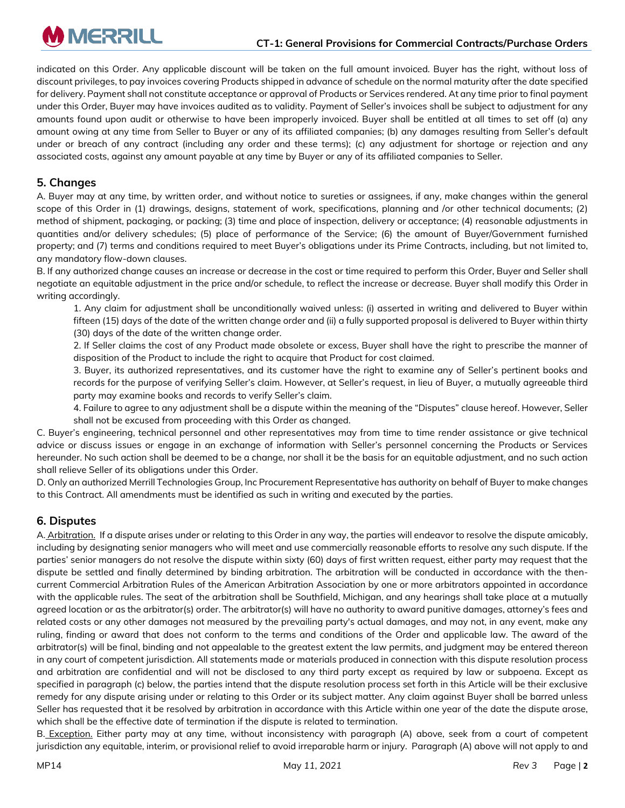indicated on this Order. Any applicable discount will be taken on the full amount invoiced. Buyer has the right, without loss of discount privileges, to pay invoices covering Products shipped in advance of schedule on the normal maturity after the date specified for delivery. Payment shall not constitute acceptance or approval of Products or Services rendered. At any time prior to final payment under this Order, Buyer may have invoices audited as to validity. Payment of Seller's invoices shall be subject to adjustment for any amounts found upon audit or otherwise to have been improperly invoiced. Buyer shall be entitled at all times to set off (a) any amount owing at any time from Seller to Buyer or any of its affiliated companies; (b) any damages resulting from Seller's default under or breach of any contract (including any order and these terms); (c) any adjustment for shortage or rejection and any associated costs, against any amount payable at any time by Buyer or any of its affiliated companies to Seller.

# **5. Changes**

A. Buyer may at any time, by written order, and without notice to sureties or assignees, if any, make changes within the general scope of this Order in (1) drawings, designs, statement of work, specifications, planning and /or other technical documents; (2) method of shipment, packaging, or packing; (3) time and place of inspection, delivery or acceptance; (4) reasonable adjustments in quantities and/or delivery schedules; (5) place of performance of the Service; (6) the amount of Buyer/Government furnished property; and (7) terms and conditions required to meet Buyer's obligations under its Prime Contracts, including, but not limited to, any mandatory flow-down clauses.

B. If any authorized change causes an increase or decrease in the cost or time required to perform this Order, Buyer and Seller shall negotiate an equitable adjustment in the price and/or schedule, to reflect the increase or decrease. Buyer shall modify this Order in writing accordingly.

1. Any claim for adjustment shall be unconditionally waived unless: (i) asserted in writing and delivered to Buyer within fifteen (15) days of the date of the written change order and (ii) a fully supported proposal is delivered to Buyer within thirty (30) days of the date of the written change order.

2. If Seller claims the cost of any Product made obsolete or excess, Buyer shall have the right to prescribe the manner of disposition of the Product to include the right to acquire that Product for cost claimed.

3. Buyer, its authorized representatives, and its customer have the right to examine any of Seller's pertinent books and records for the purpose of verifying Seller's claim. However, at Seller's request, in lieu of Buyer, a mutually agreeable third party may examine books and records to verify Seller's claim.

4. Failure to agree to any adjustment shall be a dispute within the meaning of the "Disputes" clause hereof. However, Seller shall not be excused from proceeding with this Order as changed.

C. Buyer's engineering, technical personnel and other representatives may from time to time render assistance or give technical advice or discuss issues or engage in an exchange of information with Seller's personnel concerning the Products or Services hereunder. No such action shall be deemed to be a change, nor shall it be the basis for an equitable adjustment, and no such action shall relieve Seller of its obligations under this Order.

D. Only an authorized Merrill Technologies Group, Inc Procurement Representative has authority on behalf of Buyer to make changes to this Contract. All amendments must be identified as such in writing and executed by the parties.

# **6. Disputes**

A. Arbitration. If a dispute arises under or relating to this Order in any way, the parties will endeavor to resolve the dispute amicably, including by designating senior managers who will meet and use commercially reasonable efforts to resolve any such dispute. If the parties' senior managers do not resolve the dispute within sixty (60) days of first written request, either party may request that the dispute be settled and finally determined by binding arbitration. The arbitration will be conducted in accordance with the thencurrent Commercial Arbitration Rules of the American Arbitration Association by one or more arbitrators appointed in accordance with the applicable rules. The seat of the arbitration shall be Southfield, Michigan, and any hearings shall take place at a mutually agreed location or as the arbitrator(s) order. The arbitrator(s) will have no authority to award punitive damages, attorney's fees and related costs or any other damages not measured by the prevailing party's actual damages, and may not, in any event, make any ruling, finding or award that does not conform to the terms and conditions of the Order and applicable law. The award of the arbitrator(s) will be final, binding and not appealable to the greatest extent the law permits, and judgment may be entered thereon in any court of competent jurisdiction. All statements made or materials produced in connection with this dispute resolution process and arbitration are confidential and will not be disclosed to any third party except as required by law or subpoena. Except as specified in paragraph (c) below, the parties intend that the dispute resolution process set forth in this Article will be their exclusive remedy for any dispute arising under or relating to this Order or its subject matter. Any claim against Buyer shall be barred unless Seller has requested that it be resolved by arbitration in accordance with this Article within one year of the date the dispute arose, which shall be the effective date of termination if the dispute is related to termination.

B. Exception. Either party may at any time, without inconsistency with paragraph (A) above, seek from a court of competent jurisdiction any equitable, interim, or provisional relief to avoid irreparable harm or injury. Paragraph (A) above will not apply to and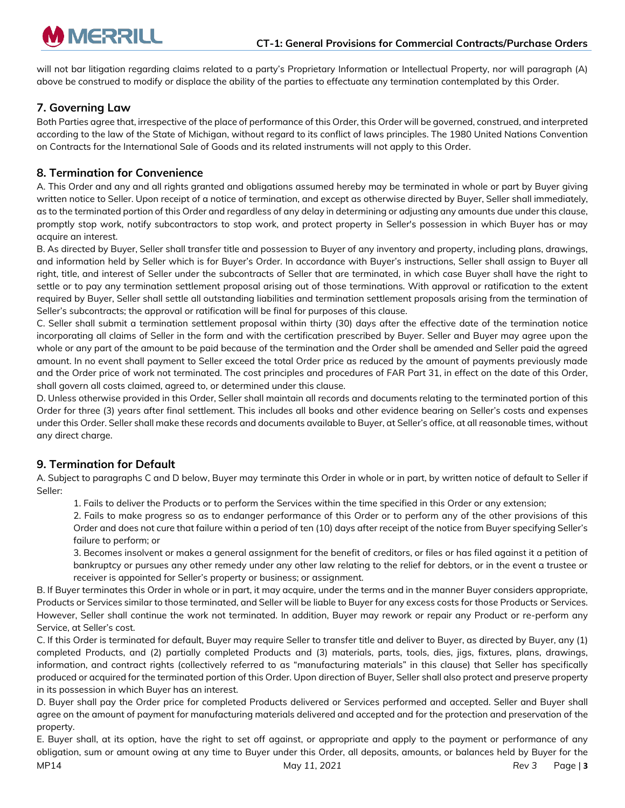

will not bar litigation regarding claims related to a party's Proprietary Information or Intellectual Property, nor will paragraph (A) above be construed to modify or displace the ability of the parties to effectuate any termination contemplated by this Order.

# **7. Governing Law**

Both Parties agree that, irrespective of the place of performance of this Order, this Order will be governed, construed, and interpreted according to the law of the State of Michigan, without regard to its conflict of laws principles. The 1980 United Nations Convention on Contracts for the International Sale of Goods and its related instruments will not apply to this Order.

## **8. Termination for Convenience**

A. This Order and any and all rights granted and obligations assumed hereby may be terminated in whole or part by Buyer giving written notice to Seller. Upon receipt of a notice of termination, and except as otherwise directed by Buyer, Seller shall immediately, as to the terminated portion of this Order and regardless of any delay in determining or adjusting any amounts due under this clause, promptly stop work, notify subcontractors to stop work, and protect property in Seller's possession in which Buyer has or may acquire an interest.

B. As directed by Buyer, Seller shall transfer title and possession to Buyer of any inventory and property, including plans, drawings, and information held by Seller which is for Buyer's Order. In accordance with Buyer's instructions, Seller shall assign to Buyer all right, title, and interest of Seller under the subcontracts of Seller that are terminated, in which case Buyer shall have the right to settle or to pay any termination settlement proposal arising out of those terminations. With approval or ratification to the extent required by Buyer, Seller shall settle all outstanding liabilities and termination settlement proposals arising from the termination of Seller's subcontracts; the approval or ratification will be final for purposes of this clause.

C. Seller shall submit a termination settlement proposal within thirty (30) days after the effective date of the termination notice incorporating all claims of Seller in the form and with the certification prescribed by Buyer. Seller and Buyer may agree upon the whole or any part of the amount to be paid because of the termination and the Order shall be amended and Seller paid the agreed amount. In no event shall payment to Seller exceed the total Order price as reduced by the amount of payments previously made and the Order price of work not terminated. The cost principles and procedures of FAR Part 31, in effect on the date of this Order, shall govern all costs claimed, agreed to, or determined under this clause.

D. Unless otherwise provided in this Order, Seller shall maintain all records and documents relating to the terminated portion of this Order for three (3) years after final settlement. This includes all books and other evidence bearing on Seller's costs and expenses under this Order. Seller shall make these records and documents available to Buyer, at Seller's office, at all reasonable times, without any direct charge.

# **9. Termination for Default**

A. Subject to paragraphs C and D below, Buyer may terminate this Order in whole or in part, by written notice of default to Seller if Seller:

1. Fails to deliver the Products or to perform the Services within the time specified in this Order or any extension;

2. Fails to make progress so as to endanger performance of this Order or to perform any of the other provisions of this Order and does not cure that failure within a period of ten (10) days after receipt of the notice from Buyer specifying Seller's failure to perform; or

3. Becomes insolvent or makes a general assignment for the benefit of creditors, or files or has filed against it a petition of bankruptcy or pursues any other remedy under any other law relating to the relief for debtors, or in the event a trustee or receiver is appointed for Seller's property or business; or assignment.

B. If Buyer terminates this Order in whole or in part, it may acquire, under the terms and in the manner Buyer considers appropriate, Products or Services similar to those terminated, and Seller will be liable to Buyer for any excess costs for those Products or Services. However, Seller shall continue the work not terminated. In addition, Buyer may rework or repair any Product or re-perform any Service, at Seller's cost.

C. If this Order is terminated for default, Buyer may require Seller to transfer title and deliver to Buyer, as directed by Buyer, any (1) completed Products, and (2) partially completed Products and (3) materials, parts, tools, dies, jigs, fixtures, plans, drawings, information, and contract rights (collectively referred to as "manufacturing materials" in this clause) that Seller has specifically produced or acquired for the terminated portion of this Order. Upon direction of Buyer, Seller shall also protect and preserve property in its possession in which Buyer has an interest.

D. Buyer shall pay the Order price for completed Products delivered or Services performed and accepted. Seller and Buyer shall agree on the amount of payment for manufacturing materials delivered and accepted and for the protection and preservation of the property.

E. Buyer shall, at its option, have the right to set off against, or appropriate and apply to the payment or performance of any obligation, sum or amount owing at any time to Buyer under this Order, all deposits, amounts, or balances held by Buyer for the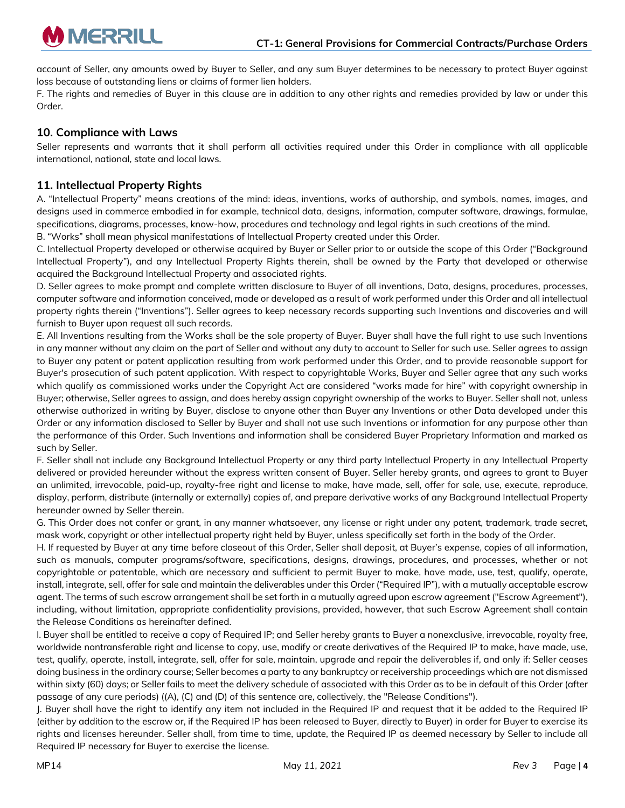account of Seller, any amounts owed by Buyer to Seller, and any sum Buyer determines to be necessary to protect Buyer against loss because of outstanding liens or claims of former lien holders.

F. The rights and remedies of Buyer in this clause are in addition to any other rights and remedies provided by law or under this Order.

#### **10. Compliance with Laws**

Seller represents and warrants that it shall perform all activities required under this Order in compliance with all applicable international, national, state and local laws.

## **11. Intellectual Property Rights**

A. "Intellectual Property" means creations of the mind: ideas, inventions, works of authorship, and symbols, names, images, and designs used in commerce embodied in for example, technical data, designs, information, computer software, drawings, formulae, specifications, diagrams, processes, know-how, procedures and technology and legal rights in such creations of the mind.

B. "Works" shall mean physical manifestations of Intellectual Property created under this Order.

C. Intellectual Property developed or otherwise acquired by Buyer or Seller prior to or outside the scope of this Order ("Background Intellectual Property"), and any Intellectual Property Rights therein, shall be owned by the Party that developed or otherwise acquired the Background Intellectual Property and associated rights.

D. Seller agrees to make prompt and complete written disclosure to Buyer of all inventions, Data, designs, procedures, processes, computer software and information conceived, made or developed as a result of work performed under this Order and all intellectual property rights therein ("Inventions"). Seller agrees to keep necessary records supporting such Inventions and discoveries and will furnish to Buyer upon request all such records.

E. All Inventions resulting from the Works shall be the sole property of Buyer. Buyer shall have the full right to use such Inventions in any manner without any claim on the part of Seller and without any duty to account to Seller for such use. Seller agrees to assign to Buyer any patent or patent application resulting from work performed under this Order, and to provide reasonable support for Buyer's prosecution of such patent application. With respect to copyrightable Works, Buyer and Seller agree that any such works which qualify as commissioned works under the Copyright Act are considered "works made for hire" with copyright ownership in Buyer; otherwise, Seller agrees to assign, and does hereby assign copyright ownership of the works to Buyer. Seller shall not, unless otherwise authorized in writing by Buyer, disclose to anyone other than Buyer any Inventions or other Data developed under this Order or any information disclosed to Seller by Buyer and shall not use such Inventions or information for any purpose other than the performance of this Order. Such Inventions and information shall be considered Buyer Proprietary Information and marked as such by Seller.

F. Seller shall not include any Background Intellectual Property or any third party Intellectual Property in any Intellectual Property delivered or provided hereunder without the express written consent of Buyer. Seller hereby grants, and agrees to grant to Buyer an unlimited, irrevocable, paid-up, royalty-free right and license to make, have made, sell, offer for sale, use, execute, reproduce, display, perform, distribute (internally or externally) copies of, and prepare derivative works of any Background Intellectual Property hereunder owned by Seller therein.

G. This Order does not confer or grant, in any manner whatsoever, any license or right under any patent, trademark, trade secret, mask work, copyright or other intellectual property right held by Buyer, unless specifically set forth in the body of the Order.

H. If requested by Buyer at any time before closeout of this Order, Seller shall deposit, at Buyer's expense, copies of all information, such as manuals, computer programs/software, specifications, designs, drawings, procedures, and processes, whether or not copyrightable or patentable, which are necessary and sufficient to permit Buyer to make, have made, use, test, qualify, operate, install, integrate, sell, offer for sale and maintain the deliverables under this Order ("Required IP"), with a mutually acceptable escrow agent. The terms of such escrow arrangement shall be set forth in a mutually agreed upon escrow agreement ("Escrow Agreement"), including, without limitation, appropriate confidentiality provisions, provided, however, that such Escrow Agreement shall contain the Release Conditions as hereinafter defined.

I. Buyer shall be entitled to receive a copy of Required IP; and Seller hereby grants to Buyer a nonexclusive, irrevocable, royalty free, worldwide nontransferable right and license to copy, use, modify or create derivatives of the Required IP to make, have made, use, test, qualify, operate, install, integrate, sell, offer for sale, maintain, upgrade and repair the deliverables if, and only if: Seller ceases doing business in the ordinary course; Seller becomes a party to any bankruptcy or receivership proceedings which are not dismissed within sixty (60) days; or Seller fails to meet the delivery schedule of associated with this Order as to be in default of this Order (after passage of any cure periods) ((A), (C) and (D) of this sentence are, collectively, the "Release Conditions").

J. Buyer shall have the right to identify any item not included in the Required IP and request that it be added to the Required IP (either by addition to the escrow or, if the Required IP has been released to Buyer, directly to Buyer) in order for Buyer to exercise its rights and licenses hereunder. Seller shall, from time to time, update, the Required IP as deemed necessary by Seller to include all Required IP necessary for Buyer to exercise the license.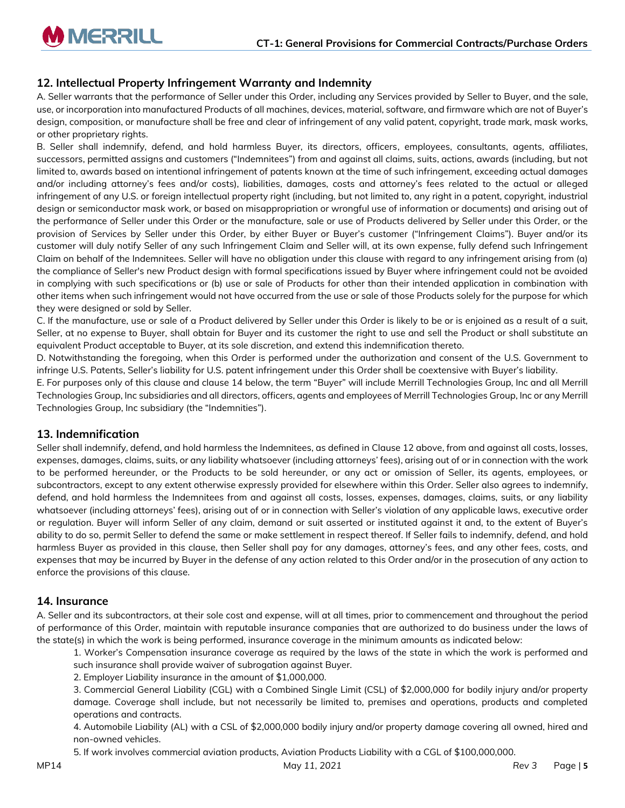# **12. Intellectual Property Infringement Warranty and Indemnity**

A. Seller warrants that the performance of Seller under this Order, including any Services provided by Seller to Buyer, and the sale, use, or incorporation into manufactured Products of all machines, devices, material, software, and firmware which are not of Buyer's design, composition, or manufacture shall be free and clear of infringement of any valid patent, copyright, trade mark, mask works, or other proprietary rights.

B. Seller shall indemnify, defend, and hold harmless Buyer, its directors, officers, employees, consultants, agents, affiliates, successors, permitted assigns and customers ("Indemnitees") from and against all claims, suits, actions, awards (including, but not limited to, awards based on intentional infringement of patents known at the time of such infringement, exceeding actual damages and/or including attorney's fees and/or costs), liabilities, damages, costs and attorney's fees related to the actual or alleged infringement of any U.S. or foreign intellectual property right (including, but not limited to, any right in a patent, copyright, industrial design or semiconductor mask work, or based on misappropriation or wrongful use of information or documents) and arising out of the performance of Seller under this Order or the manufacture, sale or use of Products delivered by Seller under this Order, or the provision of Services by Seller under this Order, by either Buyer or Buyer's customer ("Infringement Claims"). Buyer and/or its customer will duly notify Seller of any such Infringement Claim and Seller will, at its own expense, fully defend such Infringement Claim on behalf of the Indemnitees. Seller will have no obligation under this clause with regard to any infringement arising from (a) the compliance of Seller's new Product design with formal specifications issued by Buyer where infringement could not be avoided in complying with such specifications or (b) use or sale of Products for other than their intended application in combination with other items when such infringement would not have occurred from the use or sale of those Products solely for the purpose for which they were designed or sold by Seller.

C. If the manufacture, use or sale of a Product delivered by Seller under this Order is likely to be or is enjoined as a result of a suit, Seller, at no expense to Buyer, shall obtain for Buyer and its customer the right to use and sell the Product or shall substitute an equivalent Product acceptable to Buyer, at its sole discretion, and extend this indemnification thereto.

D. Notwithstanding the foregoing, when this Order is performed under the authorization and consent of the U.S. Government to infringe U.S. Patents, Seller's liability for U.S. patent infringement under this Order shall be coextensive with Buyer's liability.

E. For purposes only of this clause and clause 14 below, the term "Buyer" will include Merrill Technologies Group, Inc and all Merrill Technologies Group, Inc subsidiaries and all directors, officers, agents and employees of Merrill Technologies Group, Inc or any Merrill Technologies Group, Inc subsidiary (the "Indemnities").

#### **13. Indemnification**

Seller shall indemnify, defend, and hold harmless the Indemnitees, as defined in Clause 12 above, from and against all costs, losses, expenses, damages, claims, suits, or any liability whatsoever (including attorneys' fees), arising out of or in connection with the work to be performed hereunder, or the Products to be sold hereunder, or any act or omission of Seller, its agents, employees, or subcontractors, except to any extent otherwise expressly provided for elsewhere within this Order. Seller also agrees to indemnify, defend, and hold harmless the Indemnitees from and against all costs, losses, expenses, damages, claims, suits, or any liability whatsoever (including attorneys' fees), arising out of or in connection with Seller's violation of any applicable laws, executive order or regulation. Buyer will inform Seller of any claim, demand or suit asserted or instituted against it and, to the extent of Buyer's ability to do so, permit Seller to defend the same or make settlement in respect thereof. If Seller fails to indemnify, defend, and hold harmless Buyer as provided in this clause, then Seller shall pay for any damages, attorney's fees, and any other fees, costs, and expenses that may be incurred by Buyer in the defense of any action related to this Order and/or in the prosecution of any action to enforce the provisions of this clause.

#### **14. Insurance**

A. Seller and its subcontractors, at their sole cost and expense, will at all times, prior to commencement and throughout the period of performance of this Order, maintain with reputable insurance companies that are authorized to do business under the laws of the state(s) in which the work is being performed, insurance coverage in the minimum amounts as indicated below:

1. Worker's Compensation insurance coverage as required by the laws of the state in which the work is performed and such insurance shall provide waiver of subrogation against Buyer.

2. Employer Liability insurance in the amount of \$1,000,000.

3. Commercial General Liability (CGL) with a Combined Single Limit (CSL) of \$2,000,000 for bodily injury and/or property damage. Coverage shall include, but not necessarily be limited to, premises and operations, products and completed operations and contracts.

4. Automobile Liability (AL) with a CSL of \$2,000,000 bodily injury and/or property damage covering all owned, hired and non-owned vehicles.

5. If work involves commercial aviation products, Aviation Products Liability with a CGL of \$100,000,000.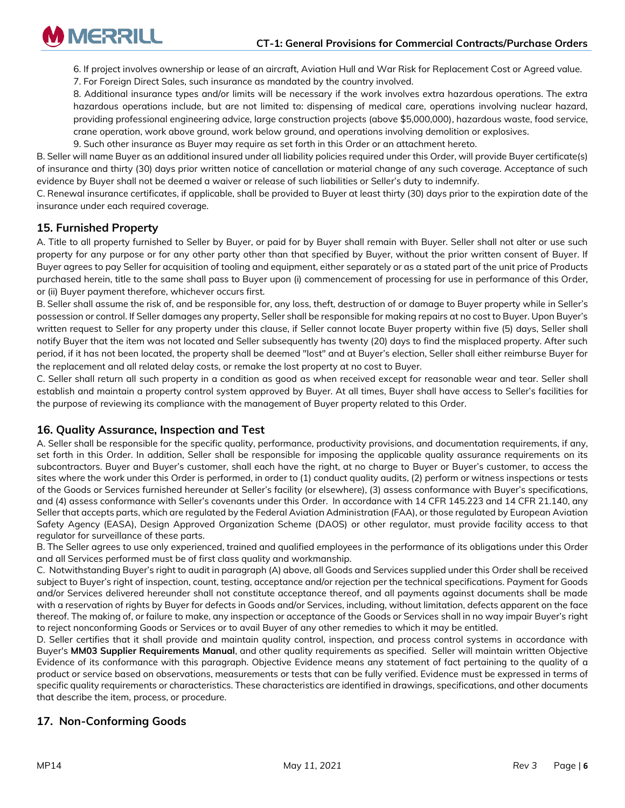

6. If project involves ownership or lease of an aircraft, Aviation Hull and War Risk for Replacement Cost or Agreed value.

7. For Foreign Direct Sales, such insurance as mandated by the country involved.

8. Additional insurance types and/or limits will be necessary if the work involves extra hazardous operations. The extra hazardous operations include, but are not limited to: dispensing of medical care, operations involving nuclear hazard, providing professional engineering advice, large construction projects (above \$5,000,000), hazardous waste, food service, crane operation, work above ground, work below ground, and operations involving demolition or explosives.

9. Such other insurance as Buyer may require as set forth in this Order or an attachment hereto.

B. Seller will name Buyer as an additional insured under all liability policies required under this Order, will provide Buyer certificate(s) of insurance and thirty (30) days prior written notice of cancellation or material change of any such coverage. Acceptance of such evidence by Buyer shall not be deemed a waiver or release of such liabilities or Seller's duty to indemnify.

C. Renewal insurance certificates, if applicable, shall be provided to Buyer at least thirty (30) days prior to the expiration date of the insurance under each required coverage.

# **15. Furnished Property**

A. Title to all property furnished to Seller by Buyer, or paid for by Buyer shall remain with Buyer. Seller shall not alter or use such property for any purpose or for any other party other than that specified by Buyer, without the prior written consent of Buyer. If Buyer agrees to pay Seller for acquisition of tooling and equipment, either separately or as a stated part of the unit price of Products purchased herein, title to the same shall pass to Buyer upon (i) commencement of processing for use in performance of this Order, or (ii) Buyer payment therefore, whichever occurs first.

B. Seller shall assume the risk of, and be responsible for, any loss, theft, destruction of or damage to Buyer property while in Seller's possession or control. If Seller damages any property, Seller shall be responsible for making repairs at no cost to Buyer. Upon Buyer's written request to Seller for any property under this clause, if Seller cannot locate Buyer property within five (5) days, Seller shall notify Buyer that the item was not located and Seller subsequently has twenty (20) days to find the misplaced property. After such period, if it has not been located, the property shall be deemed "lost" and at Buyer's election, Seller shall either reimburse Buyer for the replacement and all related delay costs, or remake the lost property at no cost to Buyer.

C. Seller shall return all such property in a condition as good as when received except for reasonable wear and tear. Seller shall establish and maintain a property control system approved by Buyer. At all times, Buyer shall have access to Seller's facilities for the purpose of reviewing its compliance with the management of Buyer property related to this Order.

## **16. Quality Assurance, Inspection and Test**

A. Seller shall be responsible for the specific quality, performance, productivity provisions, and documentation requirements, if any, set forth in this Order. In addition, Seller shall be responsible for imposing the applicable quality assurance requirements on its subcontractors. Buyer and Buyer's customer, shall each have the right, at no charge to Buyer or Buyer's customer, to access the sites where the work under this Order is performed, in order to (1) conduct quality audits, (2) perform or witness inspections or tests of the Goods or Services furnished hereunder at Seller's facility (or elsewhere), (3) assess conformance with Buyer's specifications, and (4) assess conformance with Seller's covenants under this Order. In accordance with 14 CFR 145.223 and 14 CFR 21.140, any Seller that accepts parts, which are regulated by the Federal Aviation Administration (FAA), or those regulated by European Aviation Safety Agency (EASA), Design Approved Organization Scheme (DAOS) or other regulator, must provide facility access to that regulator for surveillance of these parts.

B. The Seller agrees to use only experienced, trained and qualified employees in the performance of its obligations under this Order and all Services performed must be of first class quality and workmanship.

C. Notwithstanding Buyer's right to audit in paragraph (A) above, all Goods and Services supplied under this Order shall be received subject to Buyer's right of inspection, count, testing, acceptance and/or rejection per the technical specifications. Payment for Goods and/or Services delivered hereunder shall not constitute acceptance thereof, and all payments against documents shall be made with a reservation of rights by Buyer for defects in Goods and/or Services, including, without limitation, defects apparent on the face thereof. The making of, or failure to make, any inspection or acceptance of the Goods or Services shall in no way impair Buyer's right to reject nonconforming Goods or Services or to avail Buyer of any other remedies to which it may be entitled.

D. Seller certifies that it shall provide and maintain quality control, inspection, and process control systems in accordance with Buyer's **MM03 Supplier Requirements Manual**, and other quality requirements as specified. Seller will maintain written Objective Evidence of its conformance with this paragraph. Objective Evidence means any statement of fact pertaining to the quality of a product or service based on observations, measurements or tests that can be fully verified. Evidence must be expressed in terms of specific quality requirements or characteristics. These characteristics are identified in drawings, specifications, and other documents that describe the item, process, or procedure.

# **17. Non-Conforming Goods**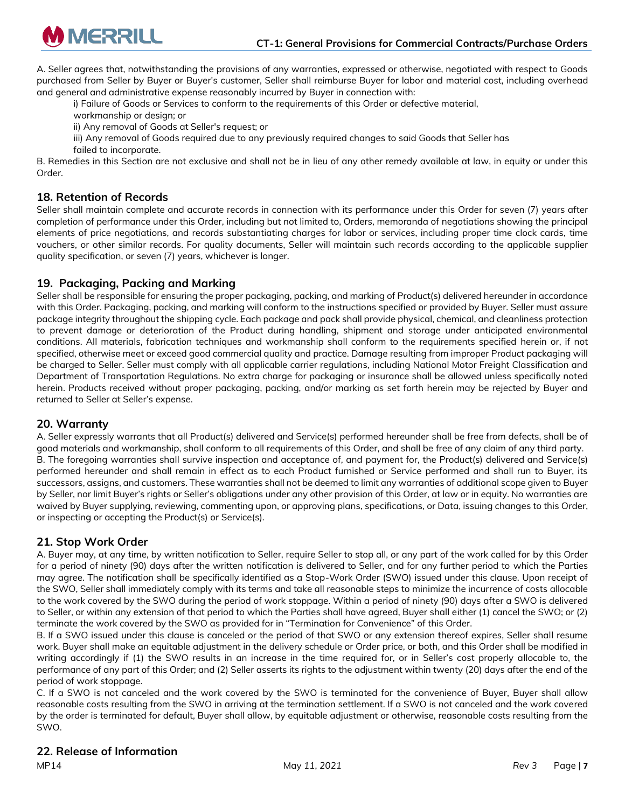

A. Seller agrees that, notwithstanding the provisions of any warranties, expressed or otherwise, negotiated with respect to Goods purchased from Seller by Buyer or Buyer's customer, Seller shall reimburse Buyer for labor and material cost, including overhead and general and administrative expense reasonably incurred by Buyer in connection with:

i) Failure of Goods or Services to conform to the requirements of this Order or defective material,

workmanship or design; or

ii) Any removal of Goods at Seller's request; or

iii) Any removal of Goods required due to any previously required changes to said Goods that Seller has

failed to incorporate.

B. Remedies in this Section are not exclusive and shall not be in lieu of any other remedy available at law, in equity or under this Order.

#### **18. Retention of Records**

Seller shall maintain complete and accurate records in connection with its performance under this Order for seven (7) years after completion of performance under this Order, including but not limited to, Orders, memoranda of negotiations showing the principal elements of price negotiations, and records substantiating charges for labor or services, including proper time clock cards, time vouchers, or other similar records. For quality documents, Seller will maintain such records according to the applicable supplier quality specification, or seven (7) years, whichever is longer.

#### **19. Packaging, Packing and Marking**

Seller shall be responsible for ensuring the proper packaging, packing, and marking of Product(s) delivered hereunder in accordance with this Order. Packaging, packing, and marking will conform to the instructions specified or provided by Buyer. Seller must assure package integrity throughout the shipping cycle. Each package and pack shall provide physical, chemical, and cleanliness protection to prevent damage or deterioration of the Product during handling, shipment and storage under anticipated environmental conditions. All materials, fabrication techniques and workmanship shall conform to the requirements specified herein or, if not specified, otherwise meet or exceed good commercial quality and practice. Damage resulting from improper Product packaging will be charged to Seller. Seller must comply with all applicable carrier regulations, including National Motor Freight Classification and Department of Transportation Regulations. No extra charge for packaging or insurance shall be allowed unless specifically noted herein. Products received without proper packaging, packing, and/or marking as set forth herein may be rejected by Buyer and returned to Seller at Seller's expense.

#### **20. Warranty**

A. Seller expressly warrants that all Product(s) delivered and Service(s) performed hereunder shall be free from defects, shall be of good materials and workmanship, shall conform to all requirements of this Order, and shall be free of any claim of any third party. B. The foregoing warranties shall survive inspection and acceptance of, and payment for, the Product(s) delivered and Service(s) performed hereunder and shall remain in effect as to each Product furnished or Service performed and shall run to Buyer, its successors, assigns, and customers. These warranties shall not be deemed to limit any warranties of additional scope given to Buyer by Seller, nor limit Buyer's rights or Seller's obligations under any other provision of this Order, at law or in equity. No warranties are waived by Buyer supplying, reviewing, commenting upon, or approving plans, specifications, or Data, issuing changes to this Order, or inspecting or accepting the Product(s) or Service(s).

## **21. Stop Work Order**

A. Buyer may, at any time, by written notification to Seller, require Seller to stop all, or any part of the work called for by this Order for a period of ninety (90) days after the written notification is delivered to Seller, and for any further period to which the Parties may agree. The notification shall be specifically identified as a Stop-Work Order (SWO) issued under this clause. Upon receipt of the SWO, Seller shall immediately comply with its terms and take all reasonable steps to minimize the incurrence of costs allocable to the work covered by the SWO during the period of work stoppage. Within a period of ninety (90) days after a SWO is delivered to Seller, or within any extension of that period to which the Parties shall have agreed, Buyer shall either (1) cancel the SWO; or (2) terminate the work covered by the SWO as provided for in "Termination for Convenience" of this Order.

B. If a SWO issued under this clause is canceled or the period of that SWO or any extension thereof expires, Seller shall resume work. Buyer shall make an equitable adjustment in the delivery schedule or Order price, or both, and this Order shall be modified in writing accordingly if (1) the SWO results in an increase in the time required for, or in Seller's cost properly allocable to, the performance of any part of this Order; and (2) Seller asserts its rights to the adjustment within twenty (20) days after the end of the period of work stoppage.

C. If a SWO is not canceled and the work covered by the SWO is terminated for the convenience of Buyer, Buyer shall allow reasonable costs resulting from the SWO in arriving at the termination settlement. If a SWO is not canceled and the work covered by the order is terminated for default, Buyer shall allow, by equitable adjustment or otherwise, reasonable costs resulting from the SWO.

## **22. Release of Information**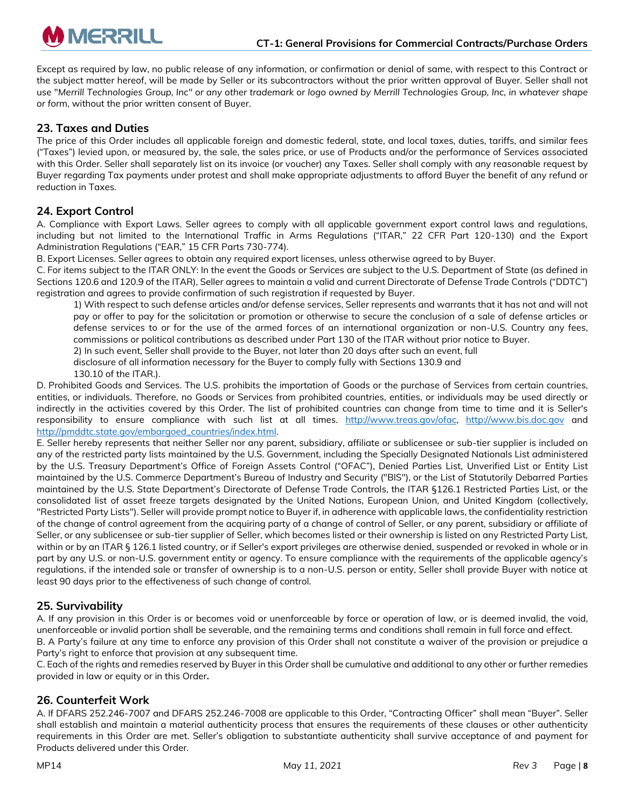Except as required by law, no public release of any information, or confirmation or denial of same, with respect to this Contract or the subject matter hereof, will be made by Seller or its subcontractors without the prior written approval of Buyer. Seller shall not use "*Merrill Technologies Group, Inc" or any other trademark or logo owned by Merrill Technologies Group, Inc, in whatever shape or for*m, without the prior written consent of Buyer.

# **23. Taxes and Duties**

The price of this Order includes all applicable foreign and domestic federal, state, and local taxes, duties, tariffs, and similar fees ("Taxes") levied upon, or measured by, the sale, the sales price, or use of Products and/or the performance of Services associated with this Order. Seller shall separately list on its invoice (or voucher) any Taxes. Seller shall comply with any reasonable request by Buyer regarding Tax payments under protest and shall make appropriate adjustments to afford Buyer the benefit of any refund or reduction in Taxes.

# **24. Export Control**

A. Compliance with Export Laws. Seller agrees to comply with all applicable government export control laws and regulations, including but not limited to the International Traffic in Arms Regulations ("ITAR," 22 CFR Part 120-130) and the Export Administration Regulations ("EAR," 15 CFR Parts 730-774).

B. Export Licenses. Seller agrees to obtain any required export licenses, unless otherwise agreed to by Buyer.

C. For items subject to the ITAR ONLY: In the event the Goods or Services are subject to the U.S. Department of State (as defined in Sections 120.6 and 120.9 of the ITAR), Seller agrees to maintain a valid and current Directorate of Defense Trade Controls ("DDTC") registration and agrees to provide confirmation of such registration if requested by Buyer.

1) With respect to such defense articles and/or defense services, Seller represents and warrants that it has not and will not pay or offer to pay for the solicitation or promotion or otherwise to secure the conclusion of a sale of defense articles or defense services to or for the use of the armed forces of an international organization or non-U.S. Country any fees, commissions or political contributions as described under Part 130 of the ITAR without prior notice to Buyer.

2) In such event, Seller shall provide to the Buyer, not later than 20 days after such an event, full

disclosure of all information necessary for the Buyer to comply fully with Sections 130.9 and

130.10 of the ITAR.).

D. Prohibited Goods and Services. The U.S. prohibits the importation of Goods or the purchase of Services from certain countries, entities, or individuals. Therefore, no Goods or Services from prohibited countries, entities, or individuals may be used directly or indirectly in the activities covered by this Order. The list of prohibited countries can change from time to time and it is Seller's responsibility to ensure compliance with such list at all times. [http://www.treas.gov/ofac,](http://www.treas.gov/ofac) [http://www.bis.doc.gov](http://www.bis.doc.gov/) and [http://pmddtc.state.gov/embargoed\\_countries/index.html.](http://pmddtc.state.gov/embargoed_countries/index.html)

E. Seller hereby represents that neither Seller nor any parent, subsidiary, affiliate or sublicensee or sub-tier supplier is included on any of the restricted party lists maintained by the U.S. Government, including the Specially Designated Nationals List administered by the U.S. Treasury Department's Office of Foreign Assets Control ("OFAC"), Denied Parties List, Unverified List or Entity List maintained by the U.S. Commerce Department's Bureau of Industry and Security ("BIS"), or the List of Statutorily Debarred Parties maintained by the U.S. State Department's Directorate of Defense Trade Controls, the ITAR §126.1 Restricted Parties List, or the consolidated list of asset freeze targets designated by the United Nations, European Union, and United Kingdom (collectively, "Restricted Party Lists"). Seller will provide prompt notice to Buyer if, in adherence with applicable laws, the confidentiality restriction of the change of control agreement from the acquiring party of a change of control of Seller, or any parent, subsidiary or affiliate of Seller, or any sublicensee or sub-tier supplier of Seller, which becomes listed or their ownership is listed on any Restricted Party List, within or by an ITAR § 126.1 listed country, or if Seller's export privileges are otherwise denied, suspended or revoked in whole or in part by any U.S. or non-U.S. government entity or agency. To ensure compliance with the requirements of the applicable agency's regulations, if the intended sale or transfer of ownership is to a non-U.S. person or entity, Seller shall provide Buyer with notice at least 90 days prior to the effectiveness of such change of control.

## **25. Survivability**

A. If any provision in this Order is or becomes void or unenforceable by force or operation of law, or is deemed invalid, the void, unenforceable or invalid portion shall be severable, and the remaining terms and conditions shall remain in full force and effect.

B. A Party's failure at any time to enforce any provision of this Order shall not constitute a waiver of the provision or prejudice a Party's right to enforce that provision at any subsequent time.

C. Each of the rights and remedies reserved by Buyer in this Order shall be cumulative and additional to any other or further remedies provided in law or equity or in this Order**.** 

## **26. Counterfeit Work**

A. If DFARS 252.246-7007 and DFARS 252.246-7008 are applicable to this Order, "Contracting Officer" shall mean "Buyer". Seller shall establish and maintain a material authenticity process that ensures the requirements of these clauses or other authenticity requirements in this Order are met. Seller's obligation to substantiate authenticity shall survive acceptance of and payment for Products delivered under this Order.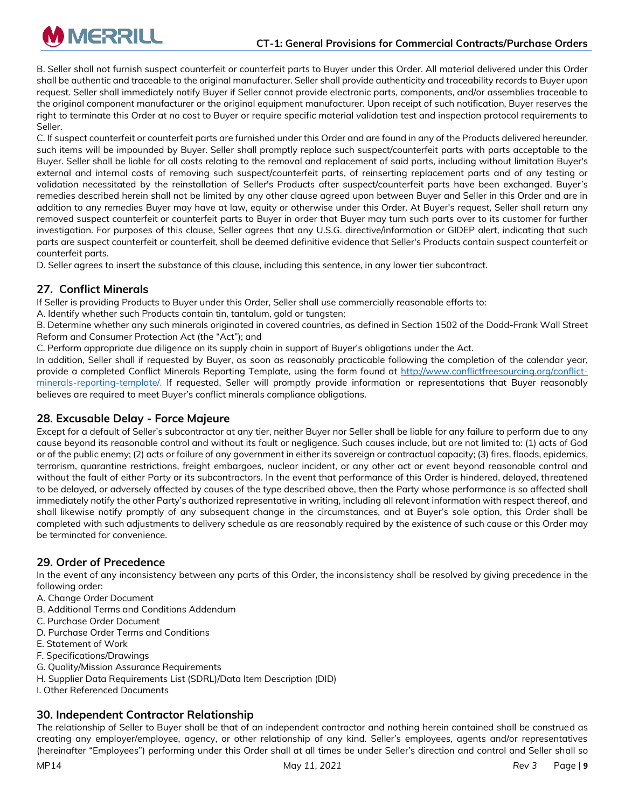B. Seller shall not furnish suspect counterfeit or counterfeit parts to Buyer under this Order. All material delivered under this Order shall be authentic and traceable to the original manufacturer. Seller shall provide authenticity and traceability records to Buyer upon request. Seller shall immediately notify Buyer if Seller cannot provide electronic parts, components, and/or assemblies traceable to the original component manufacturer or the original equipment manufacturer. Upon receipt of such notification, Buyer reserves the right to terminate this Order at no cost to Buyer or require specific material validation test and inspection protocol requirements to Seller.

C. If suspect counterfeit or counterfeit parts are furnished under this Order and are found in any of the Products delivered hereunder, such items will be impounded by Buyer. Seller shall promptly replace such suspect/counterfeit parts with parts acceptable to the Buyer. Seller shall be liable for all costs relating to the removal and replacement of said parts, including without limitation Buyer's external and internal costs of removing such suspect/counterfeit parts, of reinserting replacement parts and of any testing or validation necessitated by the reinstallation of Seller's Products after suspect/counterfeit parts have been exchanged. Buyer's remedies described herein shall not be limited by any other clause agreed upon between Buyer and Seller in this Order and are in addition to any remedies Buyer may have at law, equity or otherwise under this Order. At Buyer's request, Seller shall return any removed suspect counterfeit or counterfeit parts to Buyer in order that Buyer may turn such parts over to its customer for further investigation. For purposes of this clause, Seller agrees that any U.S.G. directive/information or GIDEP alert, indicating that such parts are suspect counterfeit or counterfeit, shall be deemed definitive evidence that Seller's Products contain suspect counterfeit or counterfeit parts.

D. Seller agrees to insert the substance of this clause, including this sentence, in any lower tier subcontract.

# **27. Conflict Minerals**

**M** MERRILL

If Seller is providing Products to Buyer under this Order, Seller shall use commercially reasonable efforts to:

A. Identify whether such Products contain tin, tantalum, gold or tungsten;

B. Determine whether any such minerals originated in covered countries, as defined in Section 1502 of the Dodd-Frank Wall Street Reform and Consumer Protection Act (the "Act"); and

C. Perform appropriate due diligence on its supply chain in support of Buyer's obligations under the Act.

In addition, Seller shall if requested by Buyer, as soon as reasonably practicable following the completion of the calendar year, provide a completed Conflict Minerals Reporting Template, using the form found at [http://www.conflictfreesourcing.org/conflict](http://www.conflictfreesourcing.org/conflict-minerals-reporting-template/)[minerals-reporting-template/.](http://www.conflictfreesourcing.org/conflict-minerals-reporting-template/) If requested, Seller will promptly provide information or representations that Buyer reasonably believes are required to meet Buyer's conflict minerals compliance obligations.

## **28. Excusable Delay - Force Majeure**

Except for a default of Seller's subcontractor at any tier, neither Buyer nor Seller shall be liable for any failure to perform due to any cause beyond its reasonable control and without its fault or negligence. Such causes include, but are not limited to: (1) acts of God or of the public enemy; (2) acts or failure of any government in either its sovereign or contractual capacity; (3) fires, floods, epidemics, terrorism, quarantine restrictions, freight embargoes, nuclear incident, or any other act or event beyond reasonable control and without the fault of either Party or its subcontractors. In the event that performance of this Order is hindered, delayed, threatened to be delayed, or adversely affected by causes of the type described above, then the Party whose performance is so affected shall immediately notify the other Party's authorized representative in writing, including all relevant information with respect thereof, and shall likewise notify promptly of any subsequent change in the circumstances, and at Buyer's sole option, this Order shall be completed with such adjustments to delivery schedule as are reasonably required by the existence of such cause or this Order may be terminated for convenience.

## **29. Order of Precedence**

In the event of any inconsistency between any parts of this Order, the inconsistency shall be resolved by giving precedence in the following order:

- A. Change Order Document
- B. Additional Terms and Conditions Addendum
- C. Purchase Order Document
- D. Purchase Order Terms and Conditions
- E. Statement of Work
- F. Specifications/Drawings
- G. Quality/Mission Assurance Requirements
- H. Supplier Data Requirements List (SDRL)/Data Item Description (DID)
- I. Other Referenced Documents

## **30. Independent Contractor Relationship**

The relationship of Seller to Buyer shall be that of an independent contractor and nothing herein contained shall be construed as creating any employer/employee, agency, or other relationship of any kind. Seller's employees, agents and/or representatives (hereinafter "Employees") performing under this Order shall at all times be under Seller's direction and control and Seller shall so